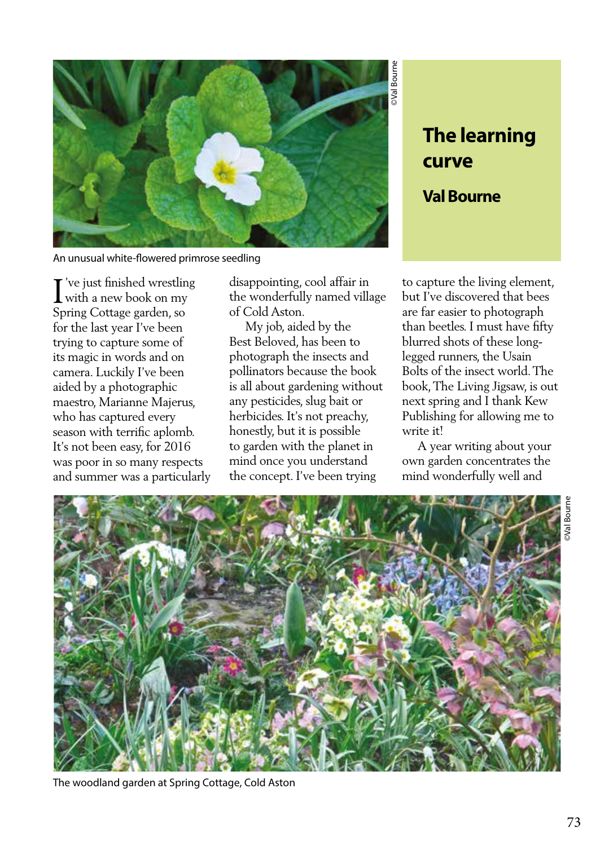

An unusual white-flowered primrose seedling

I've just finished wrestling<br>with a new book on my 've just finished wrestling Spring Cottage garden, so for the last year I've been trying to capture some of its magic in words and on camera. Luckily I've been aided by a photographic maestro, Marianne Majerus, who has captured every season with terrific aplomb. It's not been easy, for 2016 was poor in so many respects and summer was a particularly disappointing, cool affair in the wonderfully named village of Cold Aston.

 My job, aided by the Best Beloved, has been to photograph the insects and pollinators because the book is all about gardening without any pesticides, slug bait or herbicides. It's not preachy, honestly, but it is possible to garden with the planet in mind once you understand the concept. I've been trying

## **The learning curve**

**Val Bourne** 

©Val Bourne

to capture the living element, but I've discovered that bees are far easier to photograph than beetles. I must have fifty blurred shots of these longlegged runners, the Usain Bolts of the insect world. The book, The Living Jigsaw, is out next spring and I thank Kew Publishing for allowing me to write it<sup>1</sup>

 A year writing about your own garden concentrates the mind wonderfully well and



The woodland garden at Spring Cottage, Cold Aston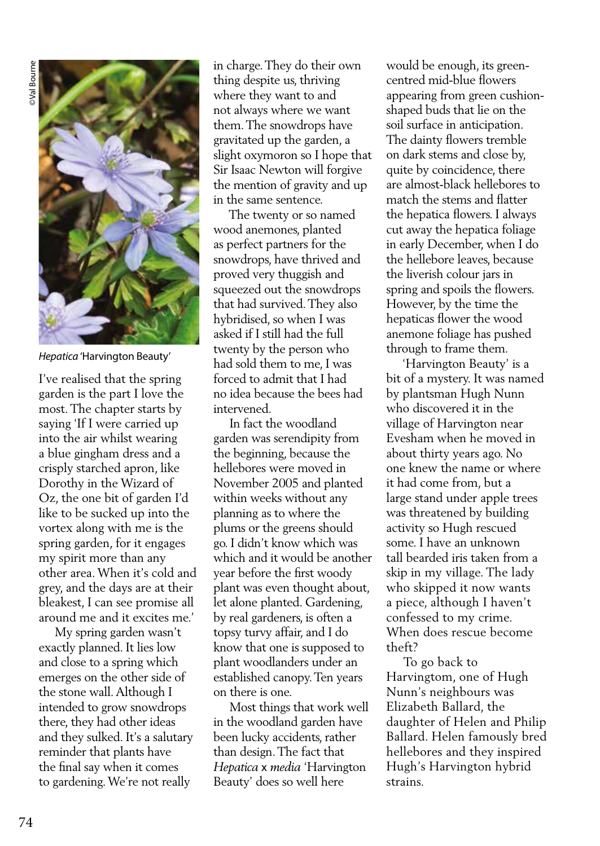

*Hepatica* 'Harvington Beauty'

I've realised that the spring garden is the part I love the most. The chapter starts by saying 'If I were carried up into the air whilst wearing a blue gingham dress and a crisply starched apron, like Dorothy in the Wizard of Oz, the one bit of garden I'd like to be sucked up into the vortex along with me is the spring garden, for it engages my spirit more than any other area. When it's cold and grey, and the days are at their bleakest, I can see promise all around me and it excites me.'

 My spring garden wasn't exactly planned. It lies low and close to a spring which emerges on the other side of the stone wall. Although I intended to grow snowdrops there, they had other ideas and they sulked. It's a salutary reminder that plants have the final say when it comes to gardening. We're not really

in charge. They do their own thing despite us, thriving where they want to and not always where we want them. The snowdrops have gravitated up the garden, a slight oxymoron so I hope that Sir Isaac Newton will forgive the mention of gravity and up in the same sentence.

 The twenty or so named wood anemones, planted as perfect partners for the snowdrops, have thrived and proved very thuggish and squeezed out the snowdrops that had survived. They also hybridised, so when I was asked if I still had the full twenty by the person who had sold them to me, I was forced to admit that I had no idea because the bees had intervened.

 In fact the woodland garden was serendipity from the beginning, because the hellebores were moved in November 2005 and planted within weeks without any planning as to where the plums or the greens should go. I didn't know which was which and it would be another year before the first woody plant was even thought about, let alone planted. Gardening, by real gardeners, is often a topsy turvy affair, and I do know that one is supposed to plant woodlanders under an established canopy. Ten years on there is one.

 Most things that work well in the woodland garden have been lucky accidents, rather than design. The fact that *Hepatica* x *media* 'Harvington Beauty' does so well here

would be enough, its greencentred mid-blue flowers appearing from green cushionshaped buds that lie on the soil surface in anticipation. The dainty flowers tremble on dark stems and close by, quite by coincidence, there are almost-black hellebores to match the stems and flatter the hepatica flowers. I always cut away the hepatica foliage in early December, when I do the hellebore leaves, because the liverish colour jars in spring and spoils the flowers. However, by the time the hepaticas flower the wood anemone foliage has pushed through to frame them.

 'Harvington Beauty' is a bit of a mystery. It was named by plantsman Hugh Nunn who discovered it in the village of Harvington near Evesham when he moved in about thirty years ago. No one knew the name or where it had come from, but a large stand under apple trees was threatened by building activity so Hugh rescued some. I have an unknown tall bearded iris taken from a skip in my village. The lady who skipped it now wants a piece, although I haven't confessed to my crime. When does rescue become theft?

 To go back to Harvingtom, one of Hugh Nunn's neighbours was Elizabeth Ballard, the daughter of Helen and Philip Ballard. Helen famously bred hellebores and they inspired Hugh's Harvington hybrid strains.